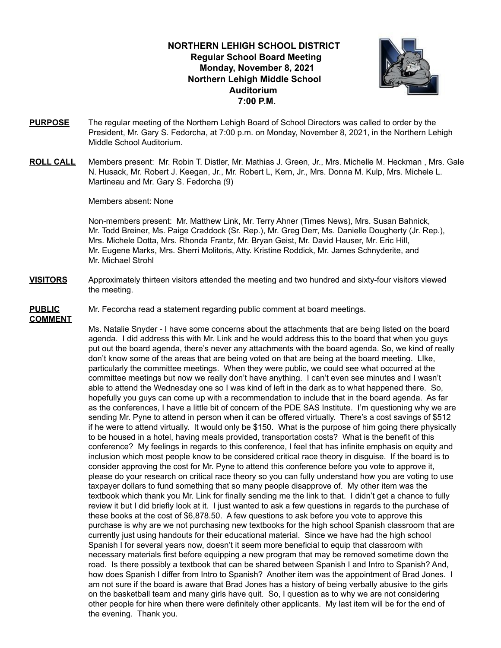### **NORTHERN LEHIGH SCHOOL DISTRICT Regular School Board Meeting Monday, November 8, 2021 Northern Lehigh Middle School Auditorium 7:00 P.M.**



- **PURPOSE** The regular meeting of the Northern Lehigh Board of School Directors was called to order by the President, Mr. Gary S. Fedorcha, at 7:00 p.m. on Monday, November 8, 2021, in the Northern Lehigh Middle School Auditorium.
- **ROLL CALL** Members present: Mr. Robin T. Distler, Mr. Mathias J. Green, Jr., Mrs. Michelle M. Heckman , Mrs. Gale N. Husack, Mr. Robert J. Keegan, Jr., Mr. Robert L, Kern, Jr., Mrs. Donna M. Kulp, Mrs. Michele L. Martineau and Mr. Gary S. Fedorcha (9)

Members absent: None

Non-members present: Mr. Matthew Link, Mr. Terry Ahner (Times News), Mrs. Susan Bahnick, Mr. Todd Breiner, Ms. Paige Craddock (Sr. Rep.), Mr. Greg Derr, Ms. Danielle Dougherty (Jr. Rep.), Mrs. Michele Dotta, Mrs. Rhonda Frantz, Mr. Bryan Geist, Mr. David Hauser, Mr. Eric Hill, Mr. Eugene Marks, Mrs. Sherri Molitoris, Atty. Kristine Roddick, Mr. James Schnyderite, and Mr. Michael Strohl

**VISITORS** Approximately thirteen visitors attended the meeting and two hundred and sixty-four visitors viewed the meeting.

## **COMMENT**

**PUBLIC** Mr. Fecorcha read a statement regarding public comment at board meetings.

Ms. Natalie Snyder - I have some concerns about the attachments that are being listed on the board agenda. I did address this with Mr. Link and he would address this to the board that when you guys put out the board agenda, there's never any attachments with the board agenda. So, we kind of really don't know some of the areas that are being voted on that are being at the board meeting. LIke, particularly the committee meetings. When they were public, we could see what occurred at the committee meetings but now we really don't have anything. I can't even see minutes and I wasn't able to attend the Wednesday one so I was kind of left in the dark as to what happened there. So, hopefully you guys can come up with a recommendation to include that in the board agenda. As far as the conferences, I have a little bit of concern of the PDE SAS Institute. I'm questioning why we are sending Mr. Pyne to attend in person when it can be offered virtually. There's a cost savings of \$512 if he were to attend virtually. It would only be \$150. What is the purpose of him going there physically to be housed in a hotel, having meals provided, transportation costs? What is the benefit of this conference? My feelings in regards to this conference, I feel that has infinite emphasis on equity and inclusion which most people know to be considered critical race theory in disguise. If the board is to consider approving the cost for Mr. Pyne to attend this conference before you vote to approve it, please do your research on critical race theory so you can fully understand how you are voting to use taxpayer dollars to fund something that so many people disapprove of. My other item was the textbook which thank you Mr. Link for finally sending me the link to that. I didn't get a chance to fully review it but I did briefly look at it. I just wanted to ask a few questions in regards to the purchase of these books at the cost of \$6,878.50. A few questions to ask before you vote to approve this purchase is why are we not purchasing new textbooks for the high school Spanish classroom that are currently just using handouts for their educational material. Since we have had the high school Spanish I for several years now, doesn't it seem more beneficial to equip that classroom with necessary materials first before equipping a new program that may be removed sometime down the road. Is there possibly a textbook that can be shared between Spanish I and Intro to Spanish? And, how does Spanish I differ from Intro to Spanish? Another item was the appointment of Brad Jones. I am not sure if the board is aware that Brad Jones has a history of being verbally abusive to the girls on the basketball team and many girls have quit. So, I question as to why we are not considering other people for hire when there were definitely other applicants. My last item will be for the end of the evening. Thank you.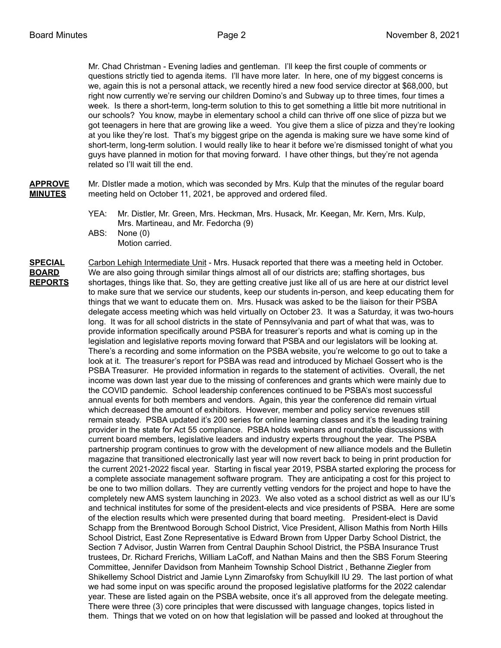Mr. Chad Christman - Evening ladies and gentleman. I'll keep the first couple of comments or questions strictly tied to agenda items. I'll have more later. In here, one of my biggest concerns is we, again this is not a personal attack, we recently hired a new food service director at \$68,000, but right now currently we're serving our children Domino's and Subway up to three times, four times a week. Is there a short-term, long-term solution to this to get something a little bit more nutritional in our schools? You know, maybe in elementary school a child can thrive off one slice of pizza but we got teenagers in here that are growing like a weed. You give them a slice of pizza and they're looking at you like they're lost. That's my biggest gripe on the agenda is making sure we have some kind of short-term, long-term solution. I would really like to hear it before we're dismissed tonight of what you guys have planned in motion for that moving forward. I have other things, but they're not agenda related so I'll wait till the end.

**APPROVE** Mr. DIstler made a motion, which was seconded by Mrs. Kulp that the minutes of the regular board **MINUTES** meeting held on October 11, 2021, be approved and ordered filed.

- YEA: Mr. Distler, Mr. Green, Mrs. Heckman, Mrs. Husack, Mr. Keegan, Mr. Kern, Mrs. Kulp, Mrs. Martineau, and Mr. Fedorcha (9)
- ABS: None (0) Motion carried.

**SPECIAL** Carbon Lehigh Intermediate Unit - Mrs. Husack reported that there was a meeting held in October. **BOARD** We are also going through similar things almost all of our districts are; staffing shortages, bus **REPORTS** shortages, things like that. So, they are getting creative just like all of us are here at our district level to make sure that we service our students, keep our students in-person, and keep educating them for things that we want to educate them on. Mrs. Husack was asked to be the liaison for their PSBA delegate access meeting which was held virtually on October 23. It was a Saturday, it was two-hours long. It was for all school districts in the state of Pennsylvania and part of what that was, was to provide information specifically around PSBA for treasurer's reports and what is coming up in the legislation and legislative reports moving forward that PSBA and our legislators will be looking at. There's a recording and some information on the PSBA website, you're welcome to go out to take a look at it. The treasurer's report for PSBA was read and introduced by Michael Gossert who is the PSBA Treasurer. He provided information in regards to the statement of activities. Overall, the net income was down last year due to the missing of conferences and grants which were mainly due to the COVID pandemic. School leadership conferences continued to be PSBA's most successful annual events for both members and vendors. Again, this year the conference did remain virtual which decreased the amount of exhibitors. However, member and policy service revenues still remain steady. PSBA updated it's 200 series for online learning classes and it's the leading training provider in the state for Act 55 compliance. PSBA holds webinars and roundtable discussions with current board members, legislative leaders and industry experts throughout the year. The PSBA partnership program continues to grow with the development of new alliance models and the Bulletin magazine that transitioned electronically last year will now revert back to being in print production for the current 2021-2022 fiscal year. Starting in fiscal year 2019, PSBA started exploring the process for a complete associate management software program. They are anticipating a cost for this project to be one to two million dollars. They are currently vetting vendors for the project and hope to have the completely new AMS system launching in 2023. We also voted as a school district as well as our IU's and technical institutes for some of the president-elects and vice presidents of PSBA. Here are some of the election results which were presented during that board meeting. President-elect is David Schapp from the Brentwood Borough School District, Vice President, Allison Mathis from North Hills School District, East Zone Representative is Edward Brown from Upper Darby School District, the Section 7 Advisor, Justin Warren from Central Dauphin School District, the PSBA Insurance Trust trustees, Dr. Richard Frerichs, William LaCoff, and Nathan Mains and then the SBS Forum Steering Committee, Jennifer Davidson from Manheim Township School District , Bethanne Ziegler from Shikellemy School District and Jamie Lynn Zimarofsky from Schuylkill IU 29. The last portion of what we had some input on was specific around the proposed legislative platforms for the 2022 calendar year. These are listed again on the PSBA website, once it's all approved from the delegate meeting. There were three (3) core principles that were discussed with language changes, topics listed in them. Things that we voted on on how that legislation will be passed and looked at throughout the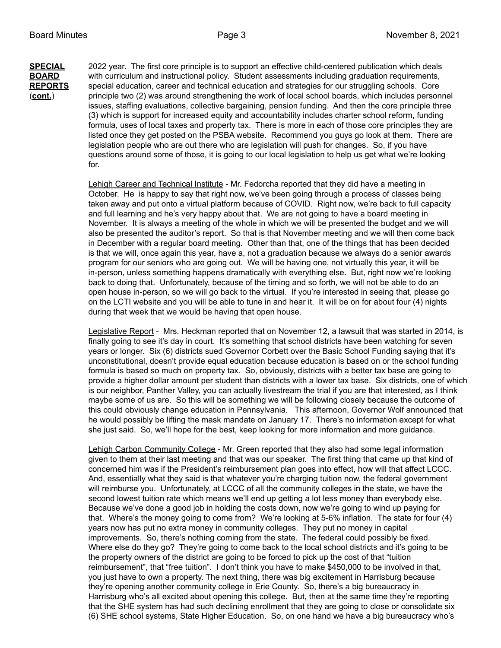**SPECIAL** 2022 year. The first core principle is to support an effective child-centered publication which deals **BOARD** with curriculum and instructional policy. Student assessments including graduation requirements, **REPORTS** special education, career and technical education and strategies for our struggling schools. Core (**cont.**) principle two (2) was around strengthening the work of local school boards, which includes personnel issues, staffing evaluations, collective bargaining, pension funding. And then the core principle three (3) which is support for increased equity and accountability includes charter school reform, funding formula, uses of local taxes and property tax. There is more in each of those core principles they are listed once they get posted on the PSBA website. Recommend you guys go look at them. There are legislation people who are out there who are legislation will push for changes. So, if you have questions around some of those, it is going to our local legislation to help us get what we're looking for.

> Lehigh Career and Technical Institute - Mr. Fedorcha reported that they did have a meeting in October. He is happy to say that right now, we've been going through a process of classes being taken away and put onto a virtual platform because of COVID. Right now, we're back to full capacity and full learning and he's very happy about that. We are not going to have a board meeting in November. It is always a meeting of the whole in which we will be presented the budget and we will also be presented the auditor's report. So that is that November meeting and we will then come back in December with a regular board meeting. Other than that, one of the things that has been decided is that we will, once again this year, have a, not a graduation because we always do a senior awards program for our seniors who are going out. We will be having one, not virtually this year, it will be in-person, unless something happens dramatically with everything else. But, right now we're looking back to doing that. Unfortunately, because of the timing and so forth, we will not be able to do an open house in-person, so we will go back to the virtual. If you're interested in seeing that, please go on the LCTI website and you will be able to tune in and hear it. It will be on for about four (4) nights during that week that we would be having that open house.

Legislative Report - Mrs. Heckman reported that on November 12, a lawsuit that was started in 2014, is finally going to see it's day in court. It's something that school districts have been watching for seven years or longer. Six (6) districts sued Governor Corbett over the Basic School Funding saying that it's unconstitutional, doesn't provide equal education because education is based on or the school funding formula is based so much on property tax. So, obviously, districts with a better tax base are going to provide a higher dollar amount per student than districts with a lower tax base. Six districts, one of which is our neighbor, Panther Valley, you can actually livestream the trial if you are that interested, as I think maybe some of us are. So this will be something we will be following closely because the outcome of this could obviously change education in Pennsylvania. This afternoon, Governor Wolf announced that he would possibly be lifting the mask mandate on January 17. There's no information except for what she just said. So, we'll hope for the best, keep looking for more information and more guidance.

Lehigh Carbon Community College - Mr. Green reported that they also had some legal information given to them at their last meeting and that was our speaker. The first thing that came up that kind of concerned him was if the President's reimbursement plan goes into effect, how will that affect LCCC. And, essentially what they said is that whatever you're charging tuition now, the federal government will reimburse you. Unfortunately, at LCCC of all the community colleges in the state, we have the second lowest tuition rate which means we'll end up getting a lot less money than everybody else. Because we've done a good job in holding the costs down, now we're going to wind up paying for that. Where's the money going to come from? We're looking at 5-6% inflation. The state for four (4) years now has put no extra money in community colleges. They put no money in capital improvements. So, there's nothing coming from the state. The federal could possibly be fixed. Where else do they go? They're going to come back to the local school districts and it's going to be the property owners of the district are going to be forced to pick up the cost of that "tuition reimbursement", that "free tuition". I don't think you have to make \$450,000 to be involved in that, you just have to own a property. The next thing, there was big excitement in Harrisburg because they're opening another community college in Erie County. So, there's a big bureaucracy in Harrisburg who's all excited about opening this college. But, then at the same time they're reporting that the SHE system has had such declining enrollment that they are going to close or consolidate six (6) SHE school systems, State Higher Education. So, on one hand we have a big bureaucracy who's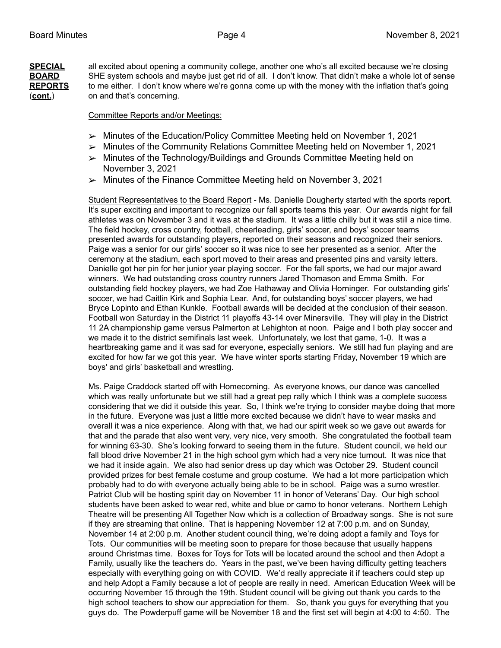**SPECIAL** all excited about opening a community college, another one who's all excited because we're closing **BOARD** SHE system schools and maybe just get rid of all. I don't know. That didn't make a whole lot of sense **REPORTS** to me either. I don't know where we're gonna come up with the money with the inflation that's going (**cont.**) on and that's concerning.

### Committee Reports and/or Meetings:

- ➢ Minutes of the Education/Policy Committee Meeting held on November 1, 2021
- $\triangleright$  Minutes of the Community Relations Committee Meeting held on November 1, 2021
- ➢ Minutes of the Technology/Buildings and Grounds Committee Meeting held on November 3, 2021
- ➢ Minutes of the Finance Committee Meeting held on November 3, 2021

Student Representatives to the Board Report - Ms. Danielle Dougherty started with the sports report. It's super exciting and important to recognize our fall sports teams this year. Our awards night for fall athletes was on November 3 and it was at the stadium. It was a little chilly but it was still a nice time. The field hockey, cross country, football, cheerleading, girls' soccer, and boys' soccer teams presented awards for outstanding players, reported on their seasons and recognized their seniors. Paige was a senior for our girls' soccer so it was nice to see her presented as a senior. After the ceremony at the stadium, each sport moved to their areas and presented pins and varsity letters. Danielle got her pin for her junior year playing soccer. For the fall sports, we had our major award winners. We had outstanding cross country runners Jared Thomason and Emma Smith. For outstanding field hockey players, we had Zoe Hathaway and Olivia Horninger. For outstanding girls' soccer, we had Caitlin Kirk and Sophia Lear. And, for outstanding boys' soccer players, we had Bryce Lopinto and Ethan Kunkle. Football awards will be decided at the conclusion of their season. Football won Saturday in the District 11 playoffs 43-14 over Minersville. They will play in the District 11 2A championship game versus Palmerton at Lehighton at noon. Paige and I both play soccer and we made it to the district semifinals last week. Unfortunately, we lost that game, 1-0. It was a heartbreaking game and it was sad for everyone, especially seniors. We still had fun playing and are excited for how far we got this year. We have winter sports starting Friday, November 19 which are boys' and girls' basketball and wrestling.

Ms. Paige Craddock started off with Homecoming. As everyone knows, our dance was cancelled which was really unfortunate but we still had a great pep rally which I think was a complete success considering that we did it outside this year. So, I think we're trying to consider maybe doing that more in the future. Everyone was just a little more excited because we didn't have to wear masks and overall it was a nice experience. Along with that, we had our spirit week so we gave out awards for that and the parade that also went very, very nice, very smooth. She congratulated the football team for winning 63-30. She's looking forward to seeing them in the future. Student council, we held our fall blood drive November 21 in the high school gym which had a very nice turnout. It was nice that we had it inside again. We also had senior dress up day which was October 29. Student council provided prizes for best female costume and group costume. We had a lot more participation which probably had to do with everyone actually being able to be in school. Paige was a sumo wrestler. Patriot Club will be hosting spirit day on November 11 in honor of Veterans' Day. Our high school students have been asked to wear red, white and blue or camo to honor veterans. Northern Lehigh Theatre will be presenting All Together Now which is a collection of Broadway songs. She is not sure if they are streaming that online. That is happening November 12 at 7:00 p.m. and on Sunday, November 14 at 2:00 p.m. Another student council thing, we're doing adopt a family and Toys for Tots. Our communities will be meeting soon to prepare for those because that usually happens around Christmas time. Boxes for Toys for Tots will be located around the school and then Adopt a Family, usually like the teachers do. Years in the past, we've been having difficulty getting teachers especially with everything going on with COVID. We'd really appreciate it if teachers could step up and help Adopt a Family because a lot of people are really in need. American Education Week will be occurring November 15 through the 19th. Student council will be giving out thank you cards to the high school teachers to show our appreciation for them. So, thank you guys for everything that you guys do. The Powderpuff game will be November 18 and the first set will begin at 4:00 to 4:50. The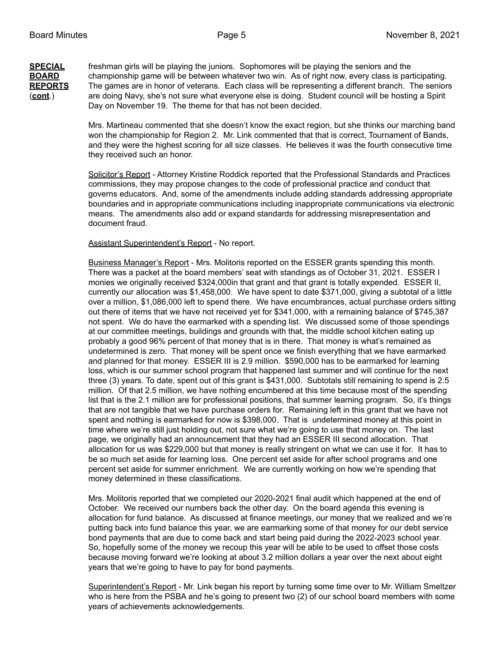**SPECIAL** freshman girls will be playing the juniors. Sophomores will be playing the seniors and the **BOARD** championship game will be between whatever two win. As of right now, every class is participating. **REPORTS** The games are in honor of veterans. Each class will be representing a different branch. The seniors (**cont**.) are doing Navy, she's not sure what everyone else is doing. Student council will be hosting a Spirit Day on November 19. The theme for that has not been decided.

> Mrs. Martineau commented that she doesn't know the exact region, but she thinks our marching band won the championship for Region 2. Mr. Link commented that that is correct, Tournament of Bands, and they were the highest scoring for all size classes. He believes it was the fourth consecutive time they received such an honor.

> Solicitor's Report - Attorney Kristine Roddick reported that the Professional Standards and Practices commissions, they may propose changes to the code of professional practice and conduct that governs educators. And, some of the amendments include adding standards addressing appropriate boundaries and in appropriate communications including inappropriate communications via electronic means. The amendments also add or expand standards for addressing misrepresentation and document fraud.

### Assistant Superintendent's Report - No report.

Business Manager's Report - Mrs. Molitoris reported on the ESSER grants spending this month. There was a packet at the board members' seat with standings as of October 31, 2021. ESSER I monies we originally received \$324,000in that grant and that grant is totally expended. ESSER II, currently our allocation was \$1,458,000. We have spent to date \$371,000, giving a subtotal of a little over a million, \$1,086,000 left to spend there. We have encumbrances, actual purchase orders sitting out there of items that we have not received yet for \$341,000, with a remaining balance of \$745,387 not spent. We do have the earmarked with a spending list. We discussed some of those spendings at our committee meetings, buildings and grounds with that, the middle school kitchen eating up probably a good 96% percent of that money that is in there. That money is what's remained as undetermined is zero. That money will be spent once we finish everything that we have earmarked and planned for that money. ESSER III is 2.9 million. \$590,000 has to be earmarked for learning loss, which is our summer school program that happened last summer and will continue for the next three (3) years. To date, spent out of this grant is \$431,000. Subtotals still remaining to spend is 2.5 million. Of that 2.5 million, we have nothing encumbered at this time because most of the spending list that is the 2.1 million are for professional positions, that summer learning program. So, it's things that are not tangible that we have purchase orders for. Remaining left in this grant that we have not spent and nothing is earmarked for now is \$398,000. That is undetermined money at this point in time where we're still just holding out, not sure what we're going to use that money on. The last page, we originally had an announcement that they had an ESSER III second allocation. That allocation for us was \$229,000 but that money is really stringent on what we can use it for. It has to be so much set aside for learning loss. One percent set aside for after school programs and one percent set aside for summer enrichment. We are currently working on how we're spending that money determined in these classifications.

Mrs. Molitoris reported that we completed our 2020-2021 final audit which happened at the end of October. We received our numbers back the other day. On the board agenda this evening is allocation for fund balance. As discussed at finance meetings, our money that we realized and we're putting back into fund balance this year, we are earmarking some of that money for our debt service bond payments that are due to come back and start being paid during the 2022-2023 school year. So, hopefully some of the money we recoup this year will be able to be used to offset those costs because moving forward we're looking at about 3.2 million dollars a year over the next about eight years that we're going to have to pay for bond payments.

Superintendent's Report - Mr. Link began his report by turning some time over to Mr. William Smeltzer who is here from the PSBA and he's going to present two (2) of our school board members with some years of achievements acknowledgements.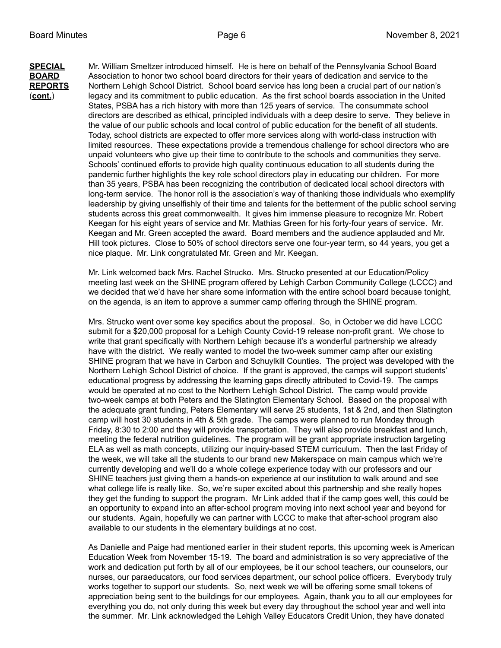**SPECIAL** Mr. William Smeltzer introduced himself. He is here on behalf of the Pennsylvania School Board **BOARD** Association to honor two school board directors for their years of dedication and service to the **REPORTS** Northern Lehigh School District. School board service has long been a crucial part of our nation's (**cont.**) legacy and its commitment to public education. As the first school boards association in the United States, PSBA has a rich history with more than 125 years of service. The consummate school directors are described as ethical, principled individuals with a deep desire to serve. They believe in the value of our public schools and local control of public education for the benefit of all students. Today, school districts are expected to offer more services along with world-class instruction with limited resources. These expectations provide a tremendous challenge for school directors who are unpaid volunteers who give up their time to contribute to the schools and communities they serve. Schools' continued efforts to provide high quality continuous education to all students during the pandemic further highlights the key role school directors play in educating our children. For more than 35 years, PSBA has been recognizing the contribution of dedicated local school directors with long-term service. The honor roll is the association's way of thanking those individuals who exemplify leadership by giving unselfishly of their time and talents for the betterment of the public school serving students across this great commonwealth. It gives him immense pleasure to recognize Mr. Robert Keegan for his eight years of service and Mr. Mathias Green for his forty-four years of service. Mr. Keegan and Mr. Green accepted the award. Board members and the audience applauded and Mr. Hill took pictures. Close to 50% of school directors serve one four-year term, so 44 years, you get a nice plaque. Mr. Link congratulated Mr. Green and Mr. Keegan.

> Mr. Link welcomed back Mrs. Rachel Strucko. Mrs. Strucko presented at our Education/Policy meeting last week on the SHINE program offered by Lehigh Carbon Community College (LCCC) and we decided that we'd have her share some information with the entire school board because tonight, on the agenda, is an item to approve a summer camp offering through the SHINE program.

> Mrs. Strucko went over some key specifics about the proposal. So, in October we did have LCCC submit for a \$20,000 proposal for a Lehigh County Covid-19 release non-profit grant. We chose to write that grant specifically with Northern Lehigh because it's a wonderful partnership we already have with the district. We really wanted to model the two-week summer camp after our existing SHINE program that we have in Carbon and Schuylkill Counties. The project was developed with the Northern Lehigh School District of choice. If the grant is approved, the camps will support students' educational progress by addressing the learning gaps directly attributed to Covid-19. The camps would be operated at no cost to the Northern Lehigh School District. The camp would provide two-week camps at both Peters and the Slatington Elementary School. Based on the proposal with the adequate grant funding, Peters Elementary will serve 25 students, 1st & 2nd, and then Slatington camp will host 30 students in 4th & 5th grade. The camps were planned to run Monday through Friday, 8:30 to 2:00 and they will provide transportation. They will also provide breakfast and lunch, meeting the federal nutrition guidelines. The program will be grant appropriate instruction targeting ELA as well as math concepts, utilizing our inquiry-based STEM curriculum. Then the last Friday of the week, we will take all the students to our brand new Makerspace on main campus which we're currently developing and we'll do a whole college experience today with our professors and our SHINE teachers just giving them a hands-on experience at our institution to walk around and see what college life is really like. So, we're super excited about this partnership and she really hopes they get the funding to support the program. Mr Link added that if the camp goes well, this could be an opportunity to expand into an after-school program moving into next school year and beyond for our students. Again, hopefully we can partner with LCCC to make that after-school program also available to our students in the elementary buildings at no cost.

> As Danielle and Paige had mentioned earlier in their student reports, this upcoming week is American Education Week from November 15-19. The board and administration is so very appreciative of the work and dedication put forth by all of our employees, be it our school teachers, our counselors, our nurses, our paraeducators, our food services department, our school police officers. Everybody truly works together to support our students. So, next week we will be offering some small tokens of appreciation being sent to the buildings for our employees. Again, thank you to all our employees for everything you do, not only during this week but every day throughout the school year and well into the summer. Mr. Link acknowledged the Lehigh Valley Educators Credit Union, they have donated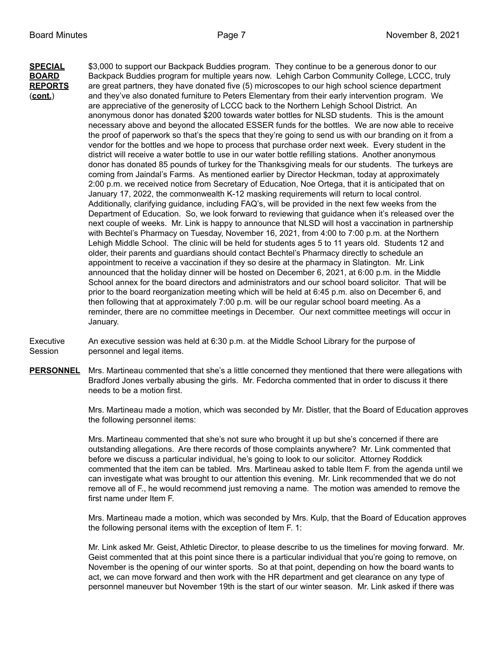**SPECIAL** \$3,000 to support our Backpack Buddies program. They continue to be a generous donor to our **BOARD** Backpack Buddies program for multiple years now. Lehigh Carbon Community College, LCCC, truly **REPORTS** are great partners, they have donated five (5) microscopes to our high school science department (**cont.**) and they've also donated furniture to Peters Elementary from their early intervention program. We are appreciative of the generosity of LCCC back to the Northern Lehigh School District. An anonymous donor has donated \$200 towards water bottles for NLSD students. This is the amount necessary above and beyond the allocated ESSER funds for the bottles. We are now able to receive the proof of paperwork so that's the specs that they're going to send us with our branding on it from a vendor for the bottles and we hope to process that purchase order next week. Every student in the district will receive a water bottle to use in our water bottle refilling stations. Another anonymous donor has donated 85 pounds of turkey for the Thanksgiving meals for our students. The turkeys are coming from Jaindal's Farms. As mentioned earlier by Director Heckman, today at approximately 2:00 p.m. we received notice from Secretary of Education, Noe Ortega, that it is anticipated that on January 17, 2022, the commonwealth K-12 masking requirements will return to local control. Additionally, clarifying guidance, including FAQ's, will be provided in the next few weeks from the Department of Education. So, we look forward to reviewing that guidance when it's released over the next couple of weeks. Mr. Link is happy to announce that NLSD will host a vaccination in partnership with Bechtel's Pharmacy on Tuesday, November 16, 2021, from 4:00 to 7:00 p.m. at the Northern Lehigh Middle School. The clinic will be held for students ages 5 to 11 years old. Students 12 and older, their parents and guardians should contact Bechtel's Pharmacy directly to schedule an appointment to receive a vaccination if they so desire at the pharmacy in Slatington. Mr. Link announced that the holiday dinner will be hosted on December 6, 2021, at 6:00 p.m. in the Middle School annex for the board directors and administrators and our school board solicitor. That will be prior to the board reorganization meeting which will be held at 6:45 p.m. also on December 6, and then following that at approximately 7:00 p.m. will be our regular school board meeting. As a reminder, there are no committee meetings in December. Our next committee meetings will occur in January.

Executive An executive session was held at 6:30 p.m. at the Middle School Library for the purpose of Session **personnel and legal items.** 

**PERSONNEL** Mrs. Martineau commented that she's a little concerned they mentioned that there were allegations with Bradford Jones verbally abusing the girls. Mr. Fedorcha commented that in order to discuss it there needs to be a motion first.

> Mrs. Martineau made a motion, which was seconded by Mr. Distler, that the Board of Education approves the following personnel items:

Mrs. Martineau commented that she's not sure who brought it up but she's concerned if there are outstanding allegations. Are there records of those complaints anywhere? Mr. Link commented that before we discuss a particular individual, he's going to look to our solicitor. Attorney Roddick commented that the item can be tabled. Mrs. Martineau asked to table Item F. from the agenda until we can investigate what was brought to our attention this evening. Mr. Link recommended that we do not remove all of F., he would recommend just removing a name. The motion was amended to remove the first name under Item F.

Mrs. Martineau made a motion, which was seconded by Mrs. Kulp, that the Board of Education approves the following personal items with the exception of Item F. 1:

Mr. Link asked Mr. Geist, Athletic Director, to please describe to us the timelines for moving forward. Mr. Geist commented that at this point since there is a particular individual that you're going to remove, on November is the opening of our winter sports. So at that point, depending on how the board wants to act, we can move forward and then work with the HR department and get clearance on any type of personnel maneuver but November 19th is the start of our winter season. Mr. Link asked if there was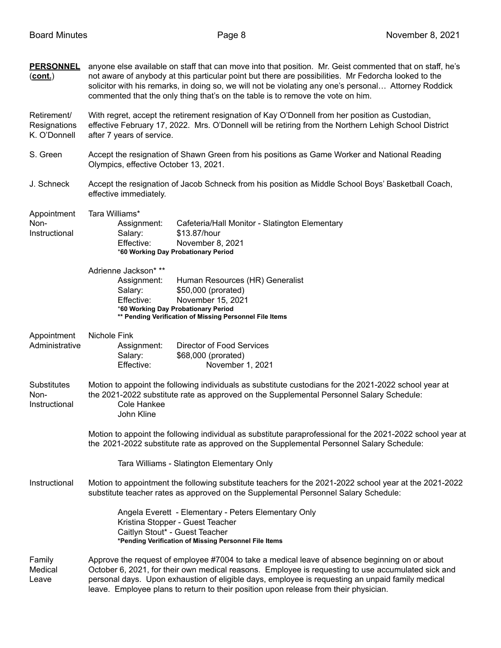| <b>PERSONNEL</b><br><u>(cont.)</u>          | anyone else available on staff that can move into that position. Mr. Geist commented that on staff, he's<br>not aware of anybody at this particular point but there are possibilities. Mr Fedorcha looked to the<br>solicitor with his remarks, in doing so, we will not be violating any one's personal Attorney Roddick<br>commented that the only thing that's on the table is to remove the vote on him. |  |  |  |
|---------------------------------------------|--------------------------------------------------------------------------------------------------------------------------------------------------------------------------------------------------------------------------------------------------------------------------------------------------------------------------------------------------------------------------------------------------------------|--|--|--|
| Retirement/<br>Resignations<br>K. O'Donnell | With regret, accept the retirement resignation of Kay O'Donnell from her position as Custodian,<br>effective February 17, 2022. Mrs. O'Donnell will be retiring from the Northern Lehigh School District<br>after 7 years of service.                                                                                                                                                                        |  |  |  |
| S. Green                                    | Accept the resignation of Shawn Green from his positions as Game Worker and National Reading<br>Olympics, effective October 13, 2021.                                                                                                                                                                                                                                                                        |  |  |  |
| J. Schneck                                  | Accept the resignation of Jacob Schneck from his position as Middle School Boys' Basketball Coach,<br>effective immediately.                                                                                                                                                                                                                                                                                 |  |  |  |
| Appointment<br>Non-<br>Instructional        | Tara Williams*<br>Assignment:<br>Cafeteria/Hall Monitor - Slatington Elementary<br>\$13.87/hour<br>Salary:<br>November 8, 2021<br>Effective:<br>*60 Working Day Probationary Period                                                                                                                                                                                                                          |  |  |  |
|                                             | Adrienne Jackson* **<br>Assignment:<br>Human Resources (HR) Generalist<br>\$50,000 (prorated)<br>Salary:<br>November 15, 2021<br>Effective:<br>*60 Working Day Probationary Period<br>** Pending Verification of Missing Personnel File Items                                                                                                                                                                |  |  |  |
| Appointment<br>Administrative               | Nichole Fink<br><b>Director of Food Services</b><br>Assignment:<br>\$68,000 (prorated)<br>Salary:<br>Effective:<br>November 1, 2021                                                                                                                                                                                                                                                                          |  |  |  |
| <b>Substitutes</b><br>Non-<br>Instructional | Motion to appoint the following individuals as substitute custodians for the 2021-2022 school year at<br>the 2021-2022 substitute rate as approved on the Supplemental Personnel Salary Schedule:<br>Cole Hankee<br>John Kline                                                                                                                                                                               |  |  |  |
|                                             | Motion to appoint the following individual as substitute paraprofessional for the 2021-2022 school year at<br>the 2021-2022 substitute rate as approved on the Supplemental Personnel Salary Schedule:                                                                                                                                                                                                       |  |  |  |
|                                             | Tara Williams - Slatington Elementary Only                                                                                                                                                                                                                                                                                                                                                                   |  |  |  |
| Instructional                               | Motion to appointment the following substitute teachers for the 2021-2022 school year at the 2021-2022<br>substitute teacher rates as approved on the Supplemental Personnel Salary Schedule:                                                                                                                                                                                                                |  |  |  |
|                                             | Angela Everett - Elementary - Peters Elementary Only<br>Kristina Stopper - Guest Teacher<br>Caitlyn Stout* - Guest Teacher<br>*Pending Verification of Missing Personnel File Items                                                                                                                                                                                                                          |  |  |  |
| Family<br>Medical<br>Leave                  | Approve the request of employee #7004 to take a medical leave of absence beginning on or about<br>October 6, 2021, for their own medical reasons. Employee is requesting to use accumulated sick and<br>personal days. Upon exhaustion of eligible days, employee is requesting an unpaid family medical<br>leave. Employee plans to return to their position upon release from their physician.             |  |  |  |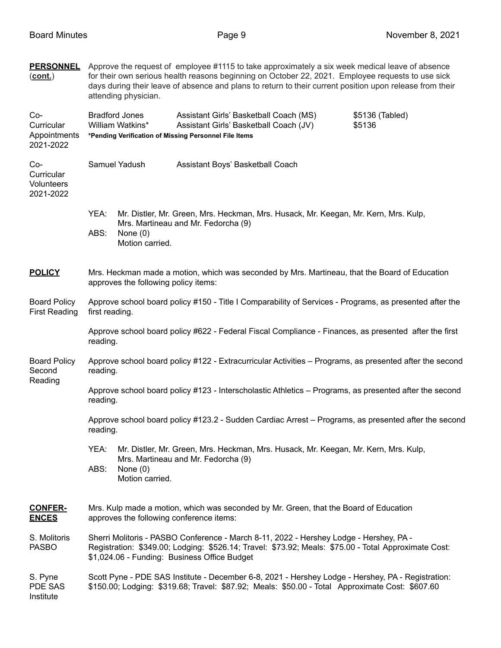| <b>PERSONNEL</b><br>$(cont.)$                  | Approve the request of employee #1115 to take approximately a six week medical leave of absence<br>for their own serious health reasons beginning on October 22, 2021. Employee requests to use sick<br>days during their leave of absence and plans to return to their current position upon release from their<br>attending physician. |                               |                                                                                                                            |  |  |  |
|------------------------------------------------|------------------------------------------------------------------------------------------------------------------------------------------------------------------------------------------------------------------------------------------------------------------------------------------------------------------------------------------|-------------------------------|----------------------------------------------------------------------------------------------------------------------------|--|--|--|
| Co-<br>Curricular<br>Appointments<br>2021-2022 | <b>Bradford Jones</b><br>Assistant Girls' Basketball Coach (MS)<br>\$5136 (Tabled)<br>William Watkins*<br>Assistant Girls' Basketball Coach (JV)<br>\$5136<br>*Pending Verification of Missing Personnel File Items                                                                                                                      |                               |                                                                                                                            |  |  |  |
| Co-<br>Curricular<br>Volunteers<br>2021-2022   | Samuel Yadush<br>Assistant Boys' Basketball Coach                                                                                                                                                                                                                                                                                        |                               |                                                                                                                            |  |  |  |
|                                                | YEA:<br>ABS:                                                                                                                                                                                                                                                                                                                             | None $(0)$<br>Motion carried. | Mr. Distler, Mr. Green, Mrs. Heckman, Mrs. Husack, Mr. Keegan, Mr. Kern, Mrs. Kulp,<br>Mrs. Martineau and Mr. Fedorcha (9) |  |  |  |
| <b>POLICY</b>                                  | Mrs. Heckman made a motion, which was seconded by Mrs. Martineau, that the Board of Education<br>approves the following policy items:                                                                                                                                                                                                    |                               |                                                                                                                            |  |  |  |
| <b>Board Policy</b><br><b>First Reading</b>    | first reading.                                                                                                                                                                                                                                                                                                                           |                               | Approve school board policy #150 - Title I Comparability of Services - Programs, as presented after the                    |  |  |  |
|                                                | Approve school board policy #622 - Federal Fiscal Compliance - Finances, as presented after the first<br>reading.                                                                                                                                                                                                                        |                               |                                                                                                                            |  |  |  |
| <b>Board Policy</b><br>Second<br>Reading       | Approve school board policy #122 - Extracurricular Activities – Programs, as presented after the second<br>reading.                                                                                                                                                                                                                      |                               |                                                                                                                            |  |  |  |
|                                                | Approve school board policy #123 - Interscholastic Athletics - Programs, as presented after the second<br>reading.                                                                                                                                                                                                                       |                               |                                                                                                                            |  |  |  |
|                                                | Approve school board policy #123.2 - Sudden Cardiac Arrest – Programs, as presented after the second<br>reading.                                                                                                                                                                                                                         |                               |                                                                                                                            |  |  |  |
|                                                | YEA:                                                                                                                                                                                                                                                                                                                                     |                               | Mr. Distler, Mr. Green, Mrs. Heckman, Mrs. Husack, Mr. Keegan, Mr. Kern, Mrs. Kulp,<br>Mrs. Martineau and Mr. Fedorcha (9) |  |  |  |
|                                                | ABS:                                                                                                                                                                                                                                                                                                                                     | None $(0)$<br>Motion carried. |                                                                                                                            |  |  |  |
| <b>CONFER-</b><br><b>ENCES</b>                 | Mrs. Kulp made a motion, which was seconded by Mr. Green, that the Board of Education<br>approves the following conference items:                                                                                                                                                                                                        |                               |                                                                                                                            |  |  |  |
| S. Molitoris<br><b>PASBO</b>                   | Sherri Molitoris - PASBO Conference - March 8-11, 2022 - Hershey Lodge - Hershey, PA -<br>Registration: \$349.00; Lodging: \$526.14; Travel: \$73.92; Meals: \$75.00 - Total Approximate Cost:<br>\$1,024.06 - Funding: Business Office Budget                                                                                           |                               |                                                                                                                            |  |  |  |
| S. Pyne<br>PDE SAS<br>Institute                | Scott Pyne - PDE SAS Institute - December 6-8, 2021 - Hershey Lodge - Hershey, PA - Registration:<br>\$150.00; Lodging: \$319.68; Travel: \$87.92; Meals: \$50.00 - Total Approximate Cost: \$607.60                                                                                                                                     |                               |                                                                                                                            |  |  |  |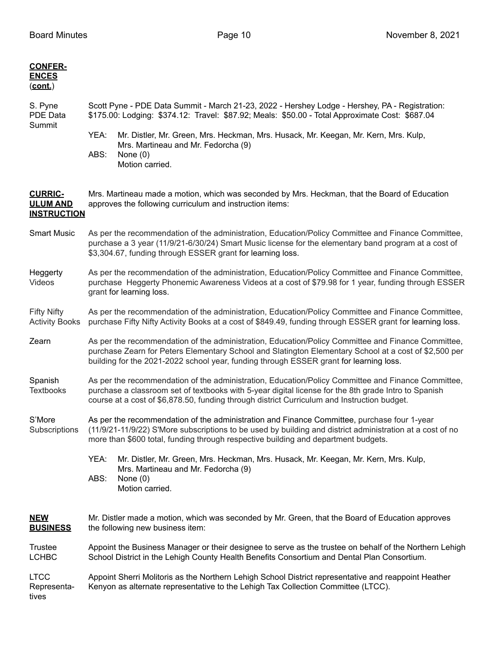| <b>CONFER-</b><br><b>ENCES</b><br>(cont.)               |                                                                                                                                                                                                                                                                                                           |                                                                                                                                                                                                                                                                                                |  |  |  |
|---------------------------------------------------------|-----------------------------------------------------------------------------------------------------------------------------------------------------------------------------------------------------------------------------------------------------------------------------------------------------------|------------------------------------------------------------------------------------------------------------------------------------------------------------------------------------------------------------------------------------------------------------------------------------------------|--|--|--|
| S. Pyne<br>PDE Data                                     | Scott Pyne - PDE Data Summit - March 21-23, 2022 - Hershey Lodge - Hershey, PA - Registration:<br>\$175.00: Lodging: \$374.12: Travel: \$87.92; Meals: \$50.00 - Total Approximate Cost: \$687.04                                                                                                         |                                                                                                                                                                                                                                                                                                |  |  |  |
| Summit                                                  | YEA:<br>ABS:                                                                                                                                                                                                                                                                                              | Mr. Distler, Mr. Green, Mrs. Heckman, Mrs. Husack, Mr. Keegan, Mr. Kern, Mrs. Kulp,<br>Mrs. Martineau and Mr. Fedorcha (9)<br>None $(0)$<br>Motion carried.                                                                                                                                    |  |  |  |
| <b>CURRIC-</b><br><b>ULUM AND</b><br><b>INSTRUCTION</b> | Mrs. Martineau made a motion, which was seconded by Mrs. Heckman, that the Board of Education<br>approves the following curriculum and instruction items:                                                                                                                                                 |                                                                                                                                                                                                                                                                                                |  |  |  |
| <b>Smart Music</b>                                      | As per the recommendation of the administration, Education/Policy Committee and Finance Committee,<br>purchase a 3 year (11/9/21-6/30/24) Smart Music license for the elementary band program at a cost of<br>\$3,304.67, funding through ESSER grant for learning loss.                                  |                                                                                                                                                                                                                                                                                                |  |  |  |
| Heggerty<br>Videos                                      | As per the recommendation of the administration, Education/Policy Committee and Finance Committee,<br>purchase Heggerty Phonemic Awareness Videos at a cost of \$79.98 for 1 year, funding through ESSER<br>grant for learning loss.                                                                      |                                                                                                                                                                                                                                                                                                |  |  |  |
| <b>Fifty Nifty</b><br><b>Activity Books</b>             | As per the recommendation of the administration, Education/Policy Committee and Finance Committee,<br>purchase Fifty Nifty Activity Books at a cost of \$849.49, funding through ESSER grant for learning loss.                                                                                           |                                                                                                                                                                                                                                                                                                |  |  |  |
| Zearn                                                   | As per the recommendation of the administration, Education/Policy Committee and Finance Committee,<br>purchase Zearn for Peters Elementary School and Slatington Elementary School at a cost of \$2,500 per<br>building for the 2021-2022 school year, funding through ESSER grant for learning loss.     |                                                                                                                                                                                                                                                                                                |  |  |  |
| Spanish<br><b>Textbooks</b>                             | As per the recommendation of the administration, Education/Policy Committee and Finance Committee,<br>purchase a classroom set of textbooks with 5-year digital license for the 8th grade Intro to Spanish<br>course at a cost of \$6,878.50, funding through district Curriculum and Instruction budget. |                                                                                                                                                                                                                                                                                                |  |  |  |
| S'More<br>Subscriptions                                 |                                                                                                                                                                                                                                                                                                           | As per the recommendation of the administration and Finance Committee, purchase four 1-year<br>(11/9/21-11/9/22) S'More subscriptions to be used by building and district administration at a cost of no<br>more than \$600 total, funding through respective building and department budgets. |  |  |  |
|                                                         | YEA:<br>ABS:                                                                                                                                                                                                                                                                                              | Mr. Distler, Mr. Green, Mrs. Heckman, Mrs. Husack, Mr. Keegan, Mr. Kern, Mrs. Kulp,<br>Mrs. Martineau and Mr. Fedorcha (9)<br>None $(0)$<br>Motion carried.                                                                                                                                    |  |  |  |
| <b>NEW</b><br><b>BUSINESS</b>                           |                                                                                                                                                                                                                                                                                                           | Mr. Distler made a motion, which was seconded by Mr. Green, that the Board of Education approves<br>the following new business item:                                                                                                                                                           |  |  |  |
| <b>Trustee</b><br><b>LCHBC</b>                          |                                                                                                                                                                                                                                                                                                           | Appoint the Business Manager or their designee to serve as the trustee on behalf of the Northern Lehigh<br>School District in the Lehigh County Health Benefits Consortium and Dental Plan Consortium.                                                                                         |  |  |  |
| <b>LTCC</b><br>Representa-<br>tives                     | Appoint Sherri Molitoris as the Northern Lehigh School District representative and reappoint Heather<br>Kenyon as alternate representative to the Lehigh Tax Collection Committee (LTCC).                                                                                                                 |                                                                                                                                                                                                                                                                                                |  |  |  |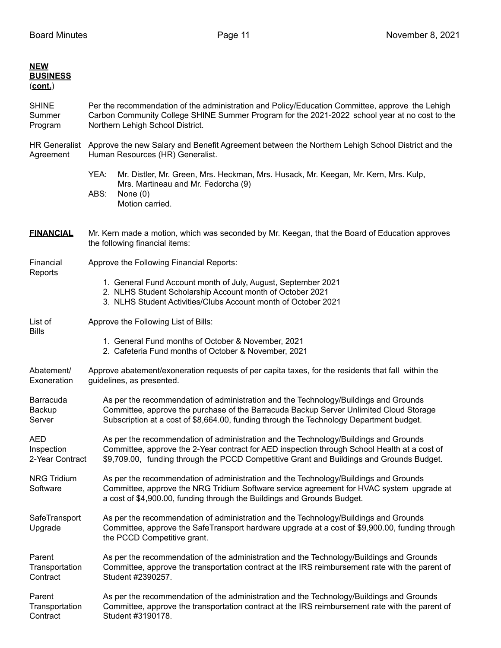| <b>NEW</b><br><b>BUSINESS</b><br>(cont.) |                                                                                                                                                                                                                                                                                  |  |  |  |  |
|------------------------------------------|----------------------------------------------------------------------------------------------------------------------------------------------------------------------------------------------------------------------------------------------------------------------------------|--|--|--|--|
| <b>SHINE</b><br>Summer<br>Program        | Per the recommendation of the administration and Policy/Education Committee, approve the Lehigh<br>Carbon Community College SHINE Summer Program for the 2021-2022 school year at no cost to the<br>Northern Lehigh School District.                                             |  |  |  |  |
| Agreement                                | HR Generalist Approve the new Salary and Benefit Agreement between the Northern Lehigh School District and the<br>Human Resources (HR) Generalist.                                                                                                                               |  |  |  |  |
|                                          | YEA:<br>Mr. Distler, Mr. Green, Mrs. Heckman, Mrs. Husack, Mr. Keegan, Mr. Kern, Mrs. Kulp,<br>Mrs. Martineau and Mr. Fedorcha (9)<br>ABS:<br>None $(0)$<br>Motion carried.                                                                                                      |  |  |  |  |
| <b>FINANCIAL</b>                         | Mr. Kern made a motion, which was seconded by Mr. Keegan, that the Board of Education approves<br>the following financial items:                                                                                                                                                 |  |  |  |  |
| Financial                                | Approve the Following Financial Reports:                                                                                                                                                                                                                                         |  |  |  |  |
| Reports                                  | 1. General Fund Account month of July, August, September 2021<br>2. NLHS Student Scholarship Account month of October 2021<br>3. NLHS Student Activities/Clubs Account month of October 2021                                                                                     |  |  |  |  |
| List of<br><b>Bills</b>                  | Approve the Following List of Bills:                                                                                                                                                                                                                                             |  |  |  |  |
|                                          | 1. General Fund months of October & November, 2021<br>2. Cafeteria Fund months of October & November, 2021                                                                                                                                                                       |  |  |  |  |
| Abatement/<br>Exoneration                | Approve abatement/exoneration requests of per capita taxes, for the residents that fall within the<br>guidelines, as presented.                                                                                                                                                  |  |  |  |  |
| Barracuda<br>Backup<br>Server            | As per the recommendation of administration and the Technology/Buildings and Grounds<br>Committee, approve the purchase of the Barracuda Backup Server Unlimited Cloud Storage<br>Subscription at a cost of \$8,664.00, funding through the Technology Department budget.        |  |  |  |  |
| AED<br>Inspection<br>2-Year Contract     | As per the recommendation of administration and the Technology/Buildings and Grounds<br>Committee, approve the 2-Year contract for AED inspection through School Health at a cost of<br>\$9,709.00, funding through the PCCD Competitive Grant and Buildings and Grounds Budget. |  |  |  |  |
| <b>NRG Tridium</b><br>Software           | As per the recommendation of administration and the Technology/Buildings and Grounds<br>Committee, approve the NRG Tridium Software service agreement for HVAC system upgrade at<br>a cost of \$4,900.00, funding through the Buildings and Grounds Budget.                      |  |  |  |  |
| SafeTransport<br>Upgrade                 | As per the recommendation of administration and the Technology/Buildings and Grounds<br>Committee, approve the SafeTransport hardware upgrade at a cost of \$9,900.00, funding through<br>the PCCD Competitive grant.                                                            |  |  |  |  |
| Parent<br>Transportation<br>Contract     | As per the recommendation of the administration and the Technology/Buildings and Grounds<br>Committee, approve the transportation contract at the IRS reimbursement rate with the parent of<br>Student #2390257.                                                                 |  |  |  |  |
| Parent<br>Transportation<br>Contract     | As per the recommendation of the administration and the Technology/Buildings and Grounds<br>Committee, approve the transportation contract at the IRS reimbursement rate with the parent of<br>Student #3190178.                                                                 |  |  |  |  |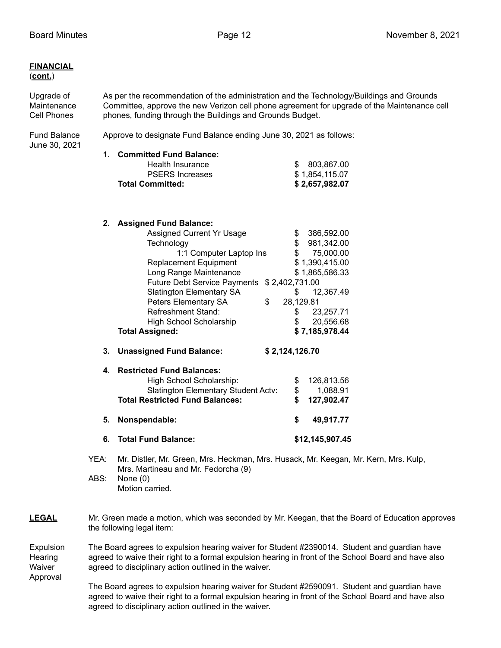### **FINANCIAL** (**cont.**)

Upgrade of As per the recommendation of the administration and the Technology/Buildings and Grounds Maintenance Committee, approve the new Verizon cell phone agreement for upgrade of the Maintenance cell Cell Phones phones, funding through the Buildings and Grounds Budget.

June 30, 2021

Fund Balance Approve to designate Fund Balance ending June 30, 2021 as follows:

| 1. Committed Fund Balance: |                |
|----------------------------|----------------|
| Health Insurance           | \$ 803.867.00  |
| <b>PSERS Increases</b>     | \$1.854.115.07 |
| <b>Total Committed:</b>    | \$2,657,982.07 |

### **2. Assigned Fund Balance:**

| 6. | <b>Total Fund Balance:</b>                                   |    |                | \$12,145,907.45 |  |  |
|----|--------------------------------------------------------------|----|----------------|-----------------|--|--|
| 5. | Nonspendable:                                                |    | \$             | 49,917.77       |  |  |
|    | <b>Total Restricted Fund Balances:</b>                       |    | \$             | 127,902.47      |  |  |
|    | <b>Slatington Elementary Student Actv:</b>                   |    | \$             | 1,088.91        |  |  |
| 4. | <b>Restricted Fund Balances:</b><br>High School Scholarship: |    | \$             | 126,813.56      |  |  |
| 3. | <b>Unassigned Fund Balance:</b>                              |    | \$2,124,126.70 |                 |  |  |
|    | <b>Total Assigned:</b>                                       |    |                | \$7,185,978.44  |  |  |
|    | <b>High School Scholarship</b>                               |    | \$             | 20,556.68       |  |  |
|    | <b>Refreshment Stand:</b>                                    |    | \$             | 23,257.71       |  |  |
|    | Peters Elementary SA                                         | \$ | 28,129.81      |                 |  |  |
|    | <b>Slatington Elementary SA</b>                              |    | S.             | 12,367.49       |  |  |
|    | <b>Future Debt Service Payments</b>                          |    | \$2,402,731.00 |                 |  |  |
|    | Long Range Maintenance                                       |    |                | \$1,865,586.33  |  |  |
|    | <b>Replacement Equipment</b>                                 |    |                | \$1,390,415.00  |  |  |
|    | 1:1 Computer Laptop Ins                                      |    |                | \$75,000.00     |  |  |
|    | Technology                                                   |    | \$             | 981,342.00      |  |  |
|    | <b>Assigned Current Yr Usage</b>                             |    | \$             | 386,592.00      |  |  |

- YEA: Mr. Distler, Mr. Green, Mrs. Heckman, Mrs. Husack, Mr. Keegan, Mr. Kern, Mrs. Kulp, Mrs. Martineau and Mr. Fedorcha (9)
- ABS: None (0) Motion carried.
- **LEGAL** Mr. Green made a motion, which was seconded by Mr. Keegan, that the Board of Education approves the following legal item:

Expulsion The Board agrees to expulsion hearing waiver for Student #2390014. Student and guardian have Hearing agreed to waive their right to a formal expulsion hearing in front of the School Board and have also Waiver agreed to disciplinary action outlined in the waiver. Approval

> The Board agrees to expulsion hearing waiver for Student #2590091. Student and guardian have agreed to waive their right to a formal expulsion hearing in front of the School Board and have also agreed to disciplinary action outlined in the waiver.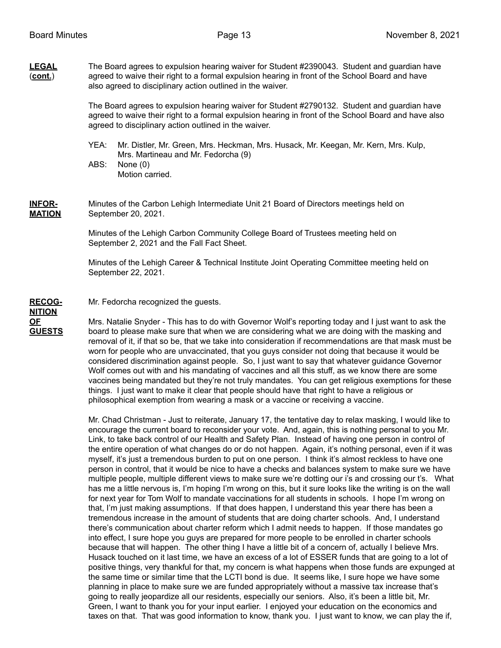**LEGAL** The Board agrees to expulsion hearing waiver for Student #2390043. Student and guardian have (**cont.**) agreed to waive their right to a formal expulsion hearing in front of the School Board and have also agreed to disciplinary action outlined in the waiver.

> The Board agrees to expulsion hearing waiver for Student #2790132. Student and guardian have agreed to waive their right to a formal expulsion hearing in front of the School Board and have also agreed to disciplinary action outlined in the waiver.

YEA: Mr. Distler, Mr. Green, Mrs. Heckman, Mrs. Husack, Mr. Keegan, Mr. Kern, Mrs. Kulp, Mrs. Martineau and Mr. Fedorcha (9)

ABS: None (0) Motion carried.

**INFOR-** Minutes of the Carbon Lehigh Intermediate Unit 21 Board of Directors meetings held on **MATION** September 20, 2021.

> Minutes of the Lehigh Carbon Community College Board of Trustees meeting held on September 2, 2021 and the Fall Fact Sheet.

Minutes of the Lehigh Career & Technical Institute Joint Operating Committee meeting held on September 22, 2021.

# **RECOG-** Mr. Fedorcha recognized the guests. **NITION**

**OF** Mrs. Natalie Snyder - This has to do with Governor Wolf's reporting today and I just want to ask the **GUESTS** board to please make sure that when we are considering what we are doing with the masking and removal of it, if that so be, that we take into consideration if recommendations are that mask must be worn for people who are unvaccinated, that you guys consider not doing that because it would be considered discrimination against people. So, I just want to say that whatever guidance Governor Wolf comes out with and his mandating of vaccines and all this stuff, as we know there are some vaccines being mandated but they're not truly mandates. You can get religious exemptions for these things. I just want to make it clear that people should have that right to have a religious or philosophical exemption from wearing a mask or a vaccine or receiving a vaccine.

> Mr. Chad Christman - Just to reiterate, January 17, the tentative day to relax masking, I would like to encourage the current board to reconsider your vote. And, again, this is nothing personal to you Mr. Link, to take back control of our Health and Safety Plan. Instead of having one person in control of the entire operation of what changes do or do not happen. Again, it's nothing personal, even if it was myself, it's just a tremendous burden to put on one person. I think it's almost reckless to have one person in control, that it would be nice to have a checks and balances system to make sure we have multiple people, multiple different views to make sure we're dotting our i's and crossing our t's. What has me a little nervous is, I'm hoping I'm wrong on this, but it sure looks like the writing is on the wall for next year for Tom Wolf to mandate vaccinations for all students in schools. I hope I'm wrong on that, I'm just making assumptions. If that does happen, I understand this year there has been a tremendous increase in the amount of students that are doing charter schools. And, I understand there's communication about charter reform which I admit needs to happen. If those mandates go into effect, I sure hope you guys are prepared for more people to be enrolled in charter schools because that will happen. The other thing I have a little bit of a concern of, actually I believe Mrs. Husack touched on it last time, we have an excess of a lot of ESSER funds that are going to a lot of positive things, very thankful for that, my concern is what happens when those funds are expunged at the same time or similar time that the LCTI bond is due. It seems like, I sure hope we have some planning in place to make sure we are funded appropriately without a massive tax increase that's going to really jeopardize all our residents, especially our seniors. Also, it's been a little bit, Mr. Green, I want to thank you for your input earlier. I enjoyed your education on the economics and taxes on that. That was good information to know, thank you. I just want to know, we can play the if,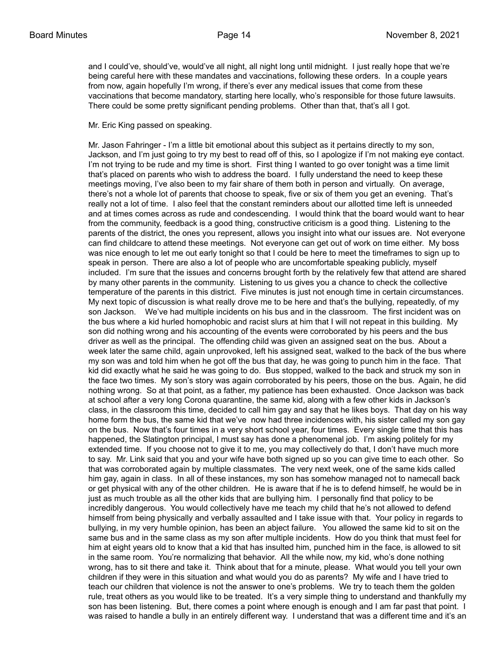and I could've, should've, would've all night, all night long until midnight. I just really hope that we're being careful here with these mandates and vaccinations, following these orders. In a couple years from now, again hopefully I'm wrong, if there's ever any medical issues that come from these vaccinations that become mandatory, starting here locally, who's responsible for those future lawsuits. There could be some pretty significant pending problems. Other than that, that's all I got.

Mr. Eric King passed on speaking.

Mr. Jason Fahringer - I'm a little bit emotional about this subject as it pertains directly to my son, Jackson, and I'm just going to try my best to read off of this, so I apologize if I'm not making eye contact. I'm not trying to be rude and my time is short. First thing I wanted to go over tonight was a time limit that's placed on parents who wish to address the board. I fully understand the need to keep these meetings moving, I've also been to my fair share of them both in person and virtually. On average, there's not a whole lot of parents that choose to speak, five or six of them you get an evening. That's really not a lot of time. I also feel that the constant reminders about our allotted time left is unneeded and at times comes across as rude and condescending. I would think that the board would want to hear from the community, feedback is a good thing, constructive criticism is a good thing. Listening to the parents of the district, the ones you represent, allows you insight into what our issues are. Not everyone can find childcare to attend these meetings. Not everyone can get out of work on time either. My boss was nice enough to let me out early tonight so that I could be here to meet the timeframes to sign up to speak in person. There are also a lot of people who are uncomfortable speaking publicly, myself included. I'm sure that the issues and concerns brought forth by the relatively few that attend are shared by many other parents in the community. Listening to us gives you a chance to check the collective temperature of the parents in this district. Five minutes is just not enough time in certain circumstances. My next topic of discussion is what really drove me to be here and that's the bullying, repeatedly, of my son Jackson. We've had multiple incidents on his bus and in the classroom. The first incident was on the bus where a kid hurled homophobic and racist slurs at him that I will not repeat in this building. My son did nothing wrong and his accounting of the events were corroborated by his peers and the bus driver as well as the principal. The offending child was given an assigned seat on the bus. About a week later the same child, again unprovoked, left his assigned seat, walked to the back of the bus where my son was and told him when he got off the bus that day, he was going to punch him in the face. That kid did exactly what he said he was going to do. Bus stopped, walked to the back and struck my son in the face two times. My son's story was again corroborated by his peers, those on the bus. Again, he did nothing wrong. So at that point, as a father, my patience has been exhausted. Once Jackson was back at school after a very long Corona quarantine, the same kid, along with a few other kids in Jackson's class, in the classroom this time, decided to call him gay and say that he likes boys. That day on his way home form the bus, the same kid that we've now had three incidences with, his sister called my son gay on the bus. Now that's four times in a very short school year, four times. Every single time that this has happened, the Slatington principal, I must say has done a phenomenal job. I'm asking politely for my extended time. If you choose not to give it to me, you may collectively do that, I don't have much more to say. Mr. Link said that you and your wife have both signed up so you can give time to each other. So that was corroborated again by multiple classmates. The very next week, one of the same kids called him gay, again in class. In all of these instances, my son has somehow managed not to namecall back or get physical with any of the other children. He is aware that if he is to defend himself, he would be in just as much trouble as all the other kids that are bullying him. I personally find that policy to be incredibly dangerous. You would collectively have me teach my child that he's not allowed to defend himself from being physically and verbally assaulted and I take issue with that. Your policy in regards to bullying, in my very humble opinion, has been an abject failure. You allowed the same kid to sit on the same bus and in the same class as my son after multiple incidents. How do you think that must feel for him at eight years old to know that a kid that has insulted him, punched him in the face, is allowed to sit in the same room. You're normalizing that behavior. All the while now, my kid, who's done nothing wrong, has to sit there and take it. Think about that for a minute, please. What would you tell your own children if they were in this situation and what would you do as parents? My wife and I have tried to teach our children that violence is not the answer to one's problems. We try to teach them the golden rule, treat others as you would like to be treated. It's a very simple thing to understand and thankfully my son has been listening. But, there comes a point where enough is enough and I am far past that point. I was raised to handle a bully in an entirely different way. I understand that was a different time and it's an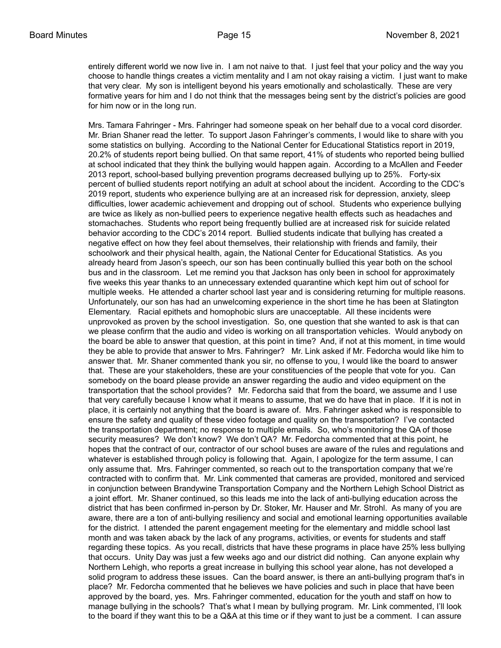entirely different world we now live in. I am not naive to that. I just feel that your policy and the way you choose to handle things creates a victim mentality and I am not okay raising a victim. I just want to make that very clear. My son is intelligent beyond his years emotionally and scholastically. These are very formative years for him and I do not think that the messages being sent by the district's policies are good for him now or in the long run.

Mrs. Tamara Fahringer - Mrs. Fahringer had someone speak on her behalf due to a vocal cord disorder. Mr. Brian Shaner read the letter. To support Jason Fahringer's comments, I would like to share with you some statistics on bullying. According to the National Center for Educational Statistics report in 2019, 20.2% of students report being bullied. On that same report, 41% of students who reported being bullied at school indicated that they think the bullying would happen again. According to a McAllen and Feeder 2013 report, school-based bullying prevention programs decreased bullying up to 25%. Forty-six percent of bullied students report notifying an adult at school about the incident. According to the CDC's 2019 report, students who experience bullying are at an increased risk for depression, anxiety, sleep difficulties, lower academic achievement and dropping out of school. Students who experience bullying are twice as likely as non-bullied peers to experience negative health effects such as headaches and stomachaches. Students who report being frequently bullied are at increased risk for suicide related behavior according to the CDC's 2014 report. Bullied students indicate that bullying has created a negative effect on how they feel about themselves, their relationship with friends and family, their schoolwork and their physical health, again, the National Center for Educational Statistics. As you already heard from Jason's speech, our son has been continually bullied this year both on the school bus and in the classroom. Let me remind you that Jackson has only been in school for approximately five weeks this year thanks to an unnecessary extended quarantine which kept him out of school for multiple weeks. He attended a charter school last year and is considering returning for multiple reasons. Unfortunately, our son has had an unwelcoming experience in the short time he has been at Slatington Elementary. Racial epithets and homophobic slurs are unacceptable. All these incidents were unprovoked as proven by the school investigation. So, one question that she wanted to ask is that can we please confirm that the audio and video is working on all transportation vehicles. Would anybody on the board be able to answer that question, at this point in time? And, if not at this moment, in time would they be able to provide that answer to Mrs. Fahringer? Mr. Link asked if Mr. Fedorcha would like him to answer that. Mr. Shaner commented thank you sir, no offense to you, I would like the board to answer that. These are your stakeholders, these are your constituencies of the people that vote for you. Can somebody on the board please provide an answer regarding the audio and video equipment on the transportation that the school provides? Mr. Fedorcha said that from the board, we assume and I use that very carefully because I know what it means to assume, that we do have that in place. If it is not in place, it is certainly not anything that the board is aware of. Mrs. Fahringer asked who is responsible to ensure the safety and quality of these video footage and quality on the transportation? I've contacted the transportation department; no response to multiple emails. So, who's monitoring the QA of those security measures? We don't know? We don't QA? Mr. Fedorcha commented that at this point, he hopes that the contract of our, contractor of our school buses are aware of the rules and regulations and whatever is established through policy is following that. Again, I apologize for the term assume, I can only assume that. Mrs. Fahringer commented, so reach out to the transportation company that we're contracted with to confirm that. Mr. Link commented that cameras are provided, monitored and serviced in conjunction between Brandywine Transportation Company and the Northern Lehigh School District as a joint effort. Mr. Shaner continued, so this leads me into the lack of anti-bullying education across the district that has been confirmed in-person by Dr. Stoker, Mr. Hauser and Mr. Strohl. As many of you are aware, there are a ton of anti-bullying resiliency and social and emotional learning opportunities available for the district. I attended the parent engagement meeting for the elementary and middle school last month and was taken aback by the lack of any programs, activities, or events for students and staff regarding these topics. As you recall, districts that have these programs in place have 25% less bullying that occurs. Unity Day was just a few weeks ago and our district did nothing. Can anyone explain why Northern Lehigh, who reports a great increase in bullying this school year alone, has not developed a solid program to address these issues. Can the board answer, is there an anti-bullying program that's in place? Mr. Fedorcha commented that he believes we have policies and such in place that have been approved by the board, yes. Mrs. Fahringer commented, education for the youth and staff on how to manage bullying in the schools? That's what I mean by bullying program. Mr. Link commented, I'll look to the board if they want this to be a Q&A at this time or if they want to just be a comment. I can assure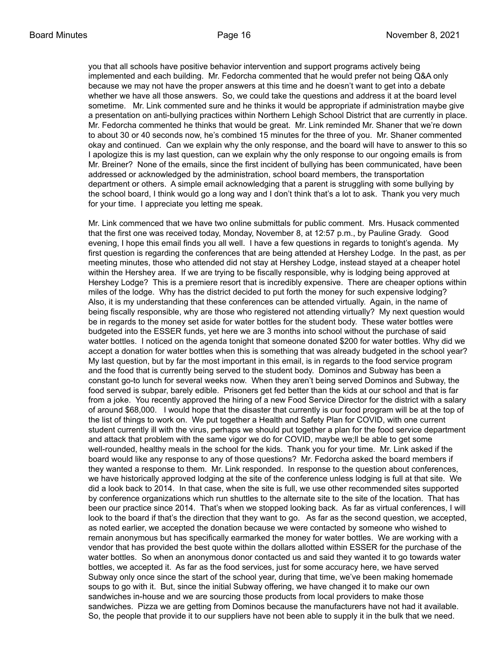you that all schools have positive behavior intervention and support programs actively being implemented and each building. Mr. Fedorcha commented that he would prefer not being Q&A only because we may not have the proper answers at this time and he doesn't want to get into a debate whether we have all those answers. So, we could take the questions and address it at the board level sometime. Mr. Link commented sure and he thinks it would be appropriate if administration maybe give a presentation on anti-bullying practices within Northern Lehigh School District that are currently in place. Mr. Fedorcha commented he thinks that would be great. Mr. Link reminded Mr. Shaner that we're down to about 30 or 40 seconds now, he's combined 15 minutes for the three of you. Mr. Shaner commented okay and continued. Can we explain why the only response, and the board will have to answer to this so I apologize this is my last question, can we explain why the only response to our ongoing emails is from Mr. Breiner? None of the emails, since the first incident of bullying has been communicated, have been addressed or acknowledged by the administration, school board members, the transportation department or others. A simple email acknowledging that a parent is struggling with some bullying by the school board, I think would go a long way and I don't think that's a lot to ask. Thank you very much for your time. I appreciate you letting me speak.

Mr. Link commenced that we have two online submittals for public comment. Mrs. Husack commented that the first one was received today, Monday, November 8, at 12:57 p.m., by Pauline Grady. Good evening, I hope this email finds you all well. I have a few questions in regards to tonight's agenda. My first question is regarding the conferences that are being attended at Hershey Lodge. In the past, as per meeting minutes, those who attended did not stay at Hershey Lodge, instead stayed at a cheaper hotel within the Hershey area. If we are trying to be fiscally responsible, why is lodging being approved at Hershey Lodge? This is a premiere resort that is incredibly expensive. There are cheaper options within miles of the lodge. Why has the district decided to put forth the money for such expensive lodging? Also, it is my understanding that these conferences can be attended virtually. Again, in the name of being fiscally responsible, why are those who registered not attending virtually? My next question would be in regards to the money set aside for water bottles for the student body. These water bottles were budgeted into the ESSER funds, yet here we are 3 months into school without the purchase of said water bottles. I noticed on the agenda tonight that someone donated \$200 for water bottles. Why did we accept a donation for water bottles when this is something that was already budgeted in the school year? My last question, but by far the most important in this email, is in regards to the food service program and the food that is currently being served to the student body. Dominos and Subway has been a constant go-to lunch for several weeks now. When they aren't being served Dominos and Subway, the food served is subpar, barely edible. Prisoners get fed better than the kids at our school and that is far from a joke. You recently approved the hiring of a new Food Service Director for the district with a salary of around \$68,000. I would hope that the disaster that currently is our food program will be at the top of the list of things to work on. We put together a Health and Safety Plan for COVID, with one current student currently ill with the virus, perhaps we should put together a plan for the food service department and attack that problem with the same vigor we do for COVID, maybe we;ll be able to get some well-rounded, healthy meals in the school for the kids. Thank you for your time. Mr. Link asked if the board would like any response to any of those questions? Mr. Fedorcha asked the board members if they wanted a response to them. Mr. Link responded. In response to the question about conferences, we have historically approved lodging at the site of the conference unless lodging is full at that site. We did a look back to 2014. In that case, when the site is full, we use other recommended sites supported by conference organizations which run shuttles to the alternate site to the site of the location. That has been our practice since 2014. That's when we stopped looking back. As far as virtual conferences, I will look to the board if that's the direction that they want to go. As far as the second question, we accepted, as noted earlier, we accepted the donation because we were contacted by someone who wished to remain anonymous but has specifically earmarked the money for water bottles. We are working with a vendor that has provided the best quote within the dollars allotted within ESSER for the purchase of the water bottles. So when an anonymous donor contacted us and said they wanted it to go towards water bottles, we accepted it. As far as the food services, just for some accuracy here, we have served Subway only once since the start of the school year, during that time, we've been making homemade soups to go with it. But, since the initial Subway offering, we have changed it to make our own sandwiches in-house and we are sourcing those products from local providers to make those sandwiches. Pizza we are getting from Dominos because the manufacturers have not had it available. So, the people that provide it to our suppliers have not been able to supply it in the bulk that we need.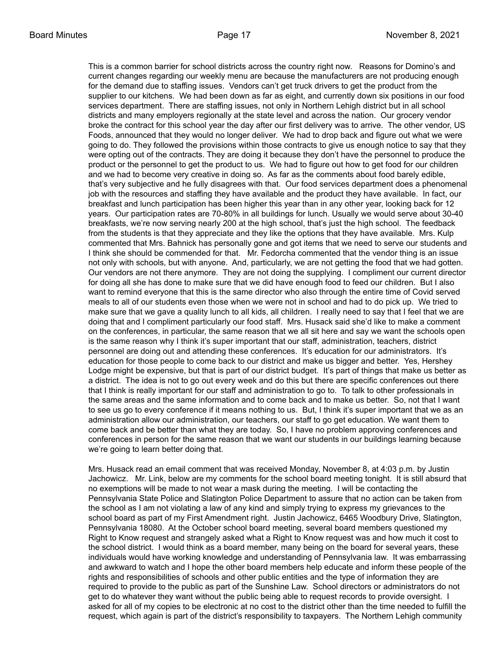This is a common barrier for school districts across the country right now. Reasons for Domino's and current changes regarding our weekly menu are because the manufacturers are not producing enough for the demand due to staffing issues. Vendors can't get truck drivers to get the product from the supplier to our kitchens. We had been down as far as eight, and currently down six positions in our food services department. There are staffing issues, not only in Northern Lehigh district but in all school districts and many employers regionally at the state level and across the nation. Our grocery vendor broke the contract for this school year the day after our first delivery was to arrive. The other vendor, US Foods, announced that they would no longer deliver. We had to drop back and figure out what we were going to do. They followed the provisions within those contracts to give us enough notice to say that they were opting out of the contracts. They are doing it because they don't have the personnel to produce the product or the personnel to get the product to us. We had to figure out how to get food for our children and we had to become very creative in doing so. As far as the comments about food barely edible, that's very subjective and he fully disagrees with that. Our food services department does a phenomenal job with the resources and staffing they have available and the product they have available. In fact, our breakfast and lunch participation has been higher this year than in any other year, looking back for 12 years. Our participation rates are 70-80% in all buildings for lunch. Usually we would serve about 30-40 breakfasts, we're now serving nearly 200 at the high school, that's just the high school. The feedback from the students is that they appreciate and they like the options that they have available. Mrs. Kulp commented that Mrs. Bahnick has personally gone and got items that we need to serve our students and I think she should be commended for that. Mr. Fedorcha commented that the vendor thing is an issue not only with schools, but with anyone. And, particularly, we are not getting the food that we had gotten. Our vendors are not there anymore. They are not doing the supplying. I compliment our current director for doing all she has done to make sure that we did have enough food to feed our children. But I also want to remind everyone that this is the same director who also through the entire time of Covid served meals to all of our students even those when we were not in school and had to do pick up. We tried to make sure that we gave a quality lunch to all kids, all children. I really need to say that I feel that we are doing that and I compliment particularly our food staff. Mrs. Husack said she'd like to make a comment on the conferences, in particular, the same reason that we all sit here and say we want the schools open is the same reason why I think it's super important that our staff, administration, teachers, district personnel are doing out and attending these conferences. It's education for our administrators. It's education for those people to come back to our district and make us bigger and better. Yes, Hershey Lodge might be expensive, but that is part of our district budget. It's part of things that make us better as a district. The idea is not to go out every week and do this but there are specific conferences out there that I think is really important for our staff and administration to go to. To talk to other professionals in the same areas and the same information and to come back and to make us better. So, not that I want to see us go to every conference if it means nothing to us. But, I think it's super important that we as an administration allow our administration, our teachers, our staff to go get education. We want them to come back and be better than what they are today. So, I have no problem approving conferences and conferences in person for the same reason that we want our students in our buildings learning because we're going to learn better doing that.

Mrs. Husack read an email comment that was received Monday, November 8, at 4:03 p.m. by Justin Jachowicz. Mr. Link, below are my comments for the school board meeting tonight. It is still absurd that no exemptions will be made to not wear a mask during the meeting. I will be contacting the Pennsylvania State Police and Slatington Police Department to assure that no action can be taken from the school as I am not violating a law of any kind and simply trying to express my grievances to the school board as part of my First Amendment right. Justin Jachowicz, 6465 Woodbury Drive, Slatington, Pennsylvania 18080. At the October school board meeting, several board members questioned my Right to Know request and strangely asked what a Right to Know request was and how much it cost to the school district. I would think as a board member, many being on the board for several years, these individuals would have working knowledge and understanding of Pennsylvania law. It was embarrassing and awkward to watch and I hope the other board members help educate and inform these people of the rights and responsibilities of schools and other public entities and the type of information they are required to provide to the public as part of the Sunshine Law. School directors or administrators do not get to do whatever they want without the public being able to request records to provide oversight. I asked for all of my copies to be electronic at no cost to the district other than the time needed to fulfill the request, which again is part of the district's responsibility to taxpayers. The Northern Lehigh community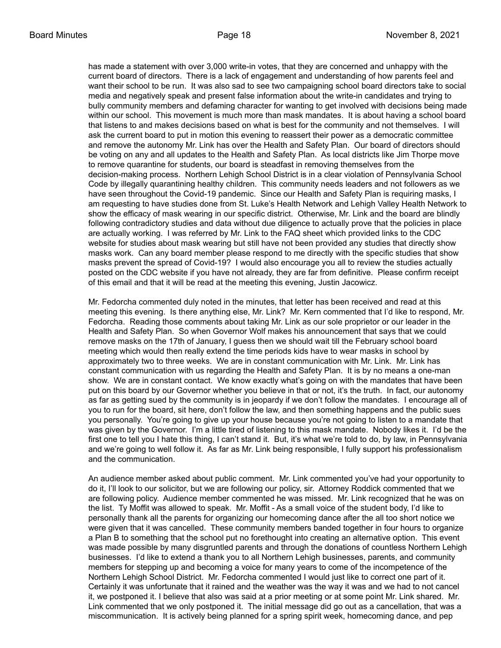has made a statement with over 3,000 write-in votes, that they are concerned and unhappy with the current board of directors. There is a lack of engagement and understanding of how parents feel and want their school to be run. It was also sad to see two campaigning school board directors take to social media and negatively speak and present false information about the write-in candidates and trying to bully community members and defaming character for wanting to get involved with decisions being made within our school. This movement is much more than mask mandates. It is about having a school board that listens to and makes decisions based on what is best for the community and not themselves. I will ask the current board to put in motion this evening to reassert their power as a democratic committee and remove the autonomy Mr. Link has over the Health and Safety Plan. Our board of directors should be voting on any and all updates to the Health and Safety Plan. As local districts like Jim Thorpe move to remove quarantine for students, our board is steadfast in removing themselves from the decision-making process. Northern Lehigh School District is in a clear violation of Pennsylvania School Code by illegally quarantining healthy children. This community needs leaders and not followers as we have seen throughout the Covid-19 pandemic. Since our Health and Safety Plan is requiring masks, I am requesting to have studies done from St. Luke's Health Network and Lehigh Valley Health Network to show the efficacy of mask wearing in our specific district. Otherwise, Mr. Link and the board are blindly following contradictory studies and data without due diligence to actually prove that the policies in place are actually working. I was referred by Mr. Link to the FAQ sheet which provided links to the CDC website for studies about mask wearing but still have not been provided any studies that directly show masks work. Can any board member please respond to me directly with the specific studies that show masks prevent the spread of Covid-19? I would also encourage you all to review the studies actually posted on the CDC website if you have not already, they are far from definitive. Please confirm receipt of this email and that it will be read at the meeting this evening, Justin Jacowicz.

Mr. Fedorcha commented duly noted in the minutes, that letter has been received and read at this meeting this evening. Is there anything else, Mr. Link? Mr. Kern commented that I'd like to respond, Mr. Fedorcha. Reading those comments about taking Mr. Link as our sole proprietor or our leader in the Health and Safety Plan. So when Governor Wolf makes his announcement that says that we could remove masks on the 17th of January, I guess then we should wait till the February school board meeting which would then really extend the time periods kids have to wear masks in school by approximately two to three weeks. We are in constant communication with Mr. Link. Mr. Link has constant communication with us regarding the Health and Safety Plan. It is by no means a one-man show. We are in constant contact. We know exactly what's going on with the mandates that have been put on this board by our Governor whether you believe in that or not, it's the truth. In fact, our autonomy as far as getting sued by the community is in jeopardy if we don't follow the mandates. I encourage all of you to run for the board, sit here, don't follow the law, and then something happens and the public sues you personally. You're going to give up your house because you're not going to listen to a mandate that was given by the Governor. I'm a little tired of listening to this mask mandate. Nobody likes it. I'd be the first one to tell you I hate this thing, I can't stand it. But, it's what we're told to do, by law, in Pennsylvania and we're going to well follow it. As far as Mr. Link being responsible, I fully support his professionalism and the communication.

An audience member asked about public comment. Mr. Link commented you've had your opportunity to do it, I'll look to our solicitor, but we are following our policy, sir. Attorney Roddick commented that we are following policy. Audience member commented he was missed. Mr. Link recognized that he was on the list. Ty Moffit was allowed to speak. Mr. Moffit - As a small voice of the student body, I'd like to personally thank all the parents for organizing our homecoming dance after the all too short notice we were given that it was cancelled. These community members banded together in four hours to organize a Plan B to something that the school put no forethought into creating an alternative option. This event was made possible by many disgruntled parents and through the donations of countless Northern Lehigh businesses. I'd like to extend a thank you to all Northern Lehigh businesses, parents, and community members for stepping up and becoming a voice for many years to come of the incompetence of the Northern Lehigh School District. Mr. Fedorcha commented I would just like to correct one part of it. Certainly it was unfortunate that it rained and the weather was the way it was and we had to not cancel it, we postponed it. I believe that also was said at a prior meeting or at some point Mr. Link shared. Mr. Link commented that we only postponed it. The initial message did go out as a cancellation, that was a miscommunication. It is actively being planned for a spring spirit week, homecoming dance, and pep